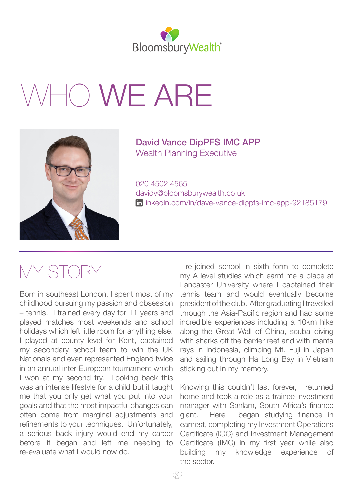

## 10 WE ARE



## David Vance DipPFS IMC APP Wealth Planning Executive

020 4502 4565 davidv@bloomsburywealth.co.uk [linkedin.com/in/dave-vance-dippfs-imc-app-92185179](https://www.linkedin.com/in/dave-vance-dippfs-imc-app-92185179/)

## MY STORY

Born in southeast London, I spent most of my childhood pursuing my passion and obsession – tennis. I trained every day for 11 years and played matches most weekends and school holidays which left little room for anything else. I played at county level for Kent, captained my secondary school team to win the UK Nationals and even represented England twice in an annual inter-European tournament which I won at my second try. Looking back this was an intense lifestyle for a child but it taught me that you only get what you put into your goals and that the most impactful changes can often come from marginal adjustments and refinements to your techniques. Unfortunately, a serious back injury would end my career before it began and left me needing to re-evaluate what I would now do.

I re-joined school in sixth form to complete my A level studies which earnt me a place at Lancaster University where I captained their tennis team and would eventually become president of the club. After graduating I travelled through the Asia-Pacific region and had some incredible experiences including a 10km hike along the Great Wall of China, scuba diving with sharks off the barrier reef and with manta rays in Indonesia, climbing Mt. Fuji in Japan and sailing through Ha Long Bay in Vietnam sticking out in my memory.

Knowing this couldn't last forever, I returned home and took a role as a trainee investment manager with Sanlam, South Africa's finance giant. Here I began studying finance in earnest, completing my Investment Operations Certificate (IOC) and Investment Management Certificate (IMC) in my first year while also building my knowledge experience of the sector.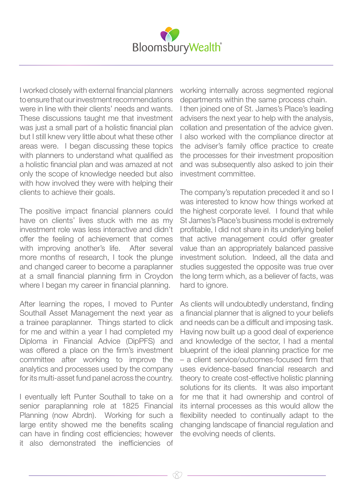

I worked closely with external financial planners to ensure that our investment recommendations were in line with their clients' needs and wants. These discussions taught me that investment was just a small part of a holistic financial plan but I still knew very little about what these other areas were. I began discussing these topics with planners to understand what qualified as a holistic financial plan and was amazed at not only the scope of knowledge needed but also with how involved they were with helping their clients to achieve their goals.

The positive impact financial planners could have on clients' lives stuck with me as my investment role was less interactive and didn't offer the feeling of achievement that comes with improving another's life. After several more months of research, I took the plunge and changed career to become a paraplanner at a small financial planning firm in Croydon where I began my career in financial planning.

After learning the ropes, I moved to Punter Southall Asset Management the next year as a trainee paraplanner. Things started to click for me and within a year I had completed my Diploma in Financial Advice (DipPFS) and was offered a place on the firm's investment committee after working to improve the analytics and processes used by the company for its multi-asset fund panel across the country.

I eventually left Punter Southall to take on a senior paraplanning role at 1825 Financial Planning (now Abrdn). Working for such a large entity showed me the benefits scaling can have in finding cost efficiencies; however it also demonstrated the inefficiencies of

working internally across segmented regional departments within the same process chain. I then joined one of St. James's Place's leading advisers the next year to help with the analysis, collation and presentation of the advice given. I also worked with the compliance director at the adviser's family office practice to create the processes for their investment proposition and was subsequently also asked to join their investment committee.

The company's reputation preceded it and so I was interested to know how things worked at the highest corporate level. I found that while St James's Place's business model is extremely profitable, I did not share in its underlying belief that active management could offer greater value than an appropriately balanced passive investment solution. Indeed, all the data and studies suggested the opposite was true over the long term which, as a believer of facts, was hard to ignore.

As clients will undoubtedly understand, finding a financial planner that is aligned to your beliefs and needs can be a difficult and imposing task. Having now built up a good deal of experience and knowledge of the sector, I had a mental blueprint of the ideal planning practice for me – a client service/outcomes-focused firm that uses evidence-based financial research and theory to create cost-effective holistic planning solutions for its clients. It was also important for me that it had ownership and control of its internal processes as this would allow the flexibility needed to continually adapt to the changing landscape of financial regulation and the evolving needs of clients.